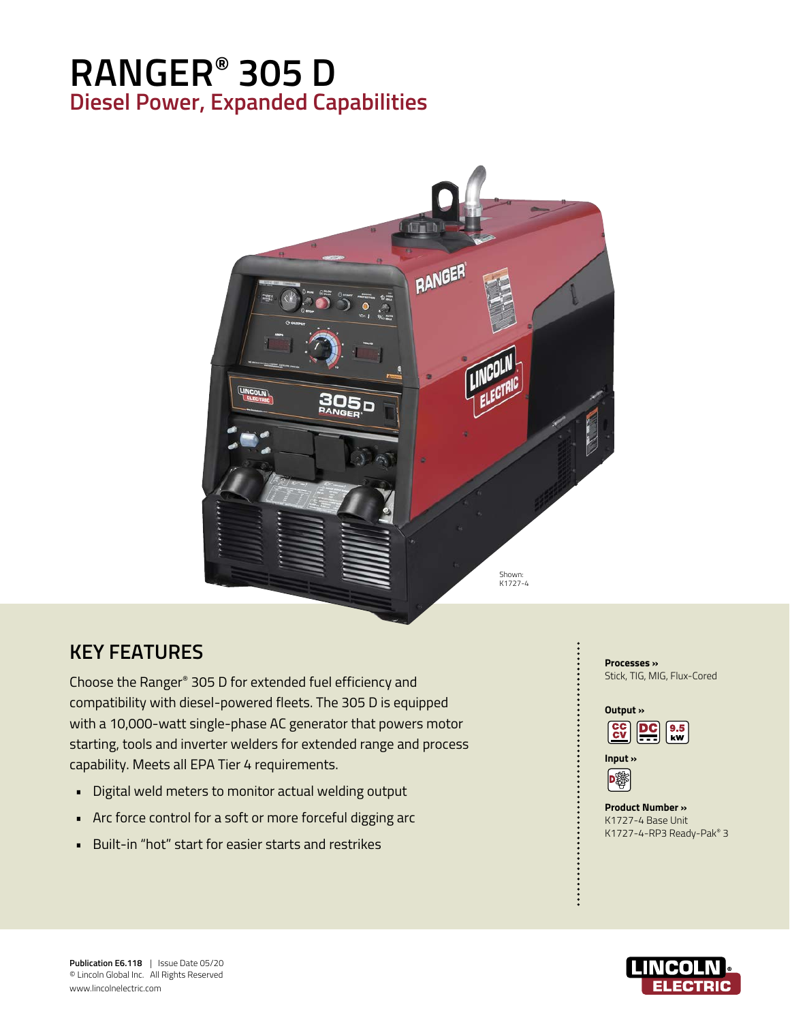# **RANGER® 305 D Diesel Power, Expanded Capabilities**



## **KEY FEATURES**

Choose the Ranger® 305 D for extended fuel efficiency and compatibility with diesel-powered fleets. The 305 D is equipped with a 10,000-watt single-phase AC generator that powers motor starting, tools and inverter welders for extended range and process capability. Meets all EPA Tier 4 requirements.

- Digital weld meters to monitor actual welding output
- Arc force control for a soft or more forceful digging arc
- Built-in "hot" start for easier starts and restrikes

#### **Processes »**  Stick, TIG, MIG, Flux-Cored

#### **Output »**





#### **Product Number »**  K1727-4 Base Unit K1727-4-RP3 Ready-Pak® 3

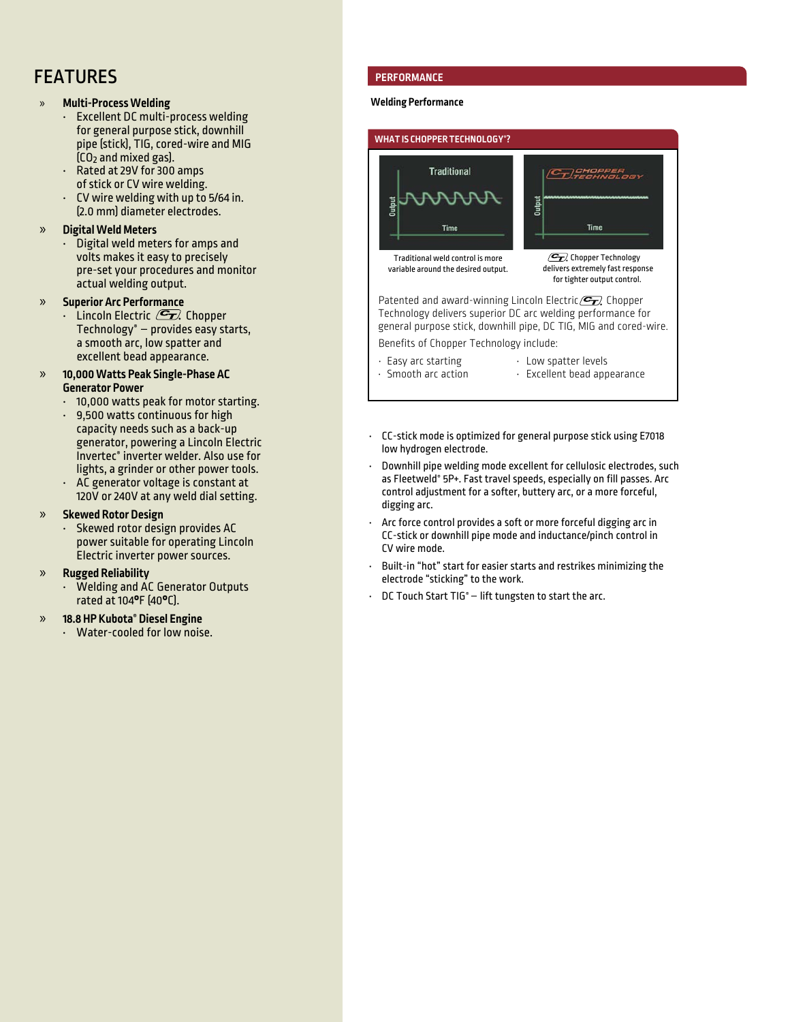## FEATURES

### » **Multi-Process Welding**

- Excellent DC multi-process welding for general purpose stick, downhill pipe (stick), TIG, cored-wire and MIG  $[CO<sub>2</sub>$  and mixed gas).
- Rated at 29V for 300 amps of stick or CV wire welding.
- CV wire welding with up to 5/64 in. (2.0 mm) diameter electrodes.

#### » **Digital Weld Meters**

• Digital weld meters for amps and volts makes it easy to precisely pre-set your procedures and monitor actual welding output.

### » **Superior Arc Performance**

Lincoln Electric  $\mathcal{F}$  Chopper Technology® – provides easy starts, a smooth arc, low spatter and excellent bead appearance.

#### » **10,000 Watts Peak Single-Phase AC Generator Power**

- 10,000 watts peak for motor starting.
- 9,500 watts continuous for high capacity needs such as a back-up generator, powering a Lincoln Electric Invertec® inverter welder. Also use for lights, a grinder or other power tools.
- AC generator voltage is constant at 120V or 240V at any weld dial setting.

#### » **Skewed Rotor Design**

• Skewed rotor design provides AC power suitable for operating Lincoln Electric inverter power sources.

#### » **Rugged Reliability**

Welding and AC Generator Outputs rated at 104**°**F (40**°**C).

#### » **18.8 HP Kubota® Diesel Engine**

• Water-cooled for low noise.

### **PERFORMANCE**

#### **Welding Performance**



- 
- Easy arc starting Low spatter levels<br>• Smooth arc action Excellent bead app  $\cdot$  Excellent bead appearance
- CC-stick mode is optimized for general purpose stick using E7018 low hydrogen electrode.
- Downhill pipe welding mode excellent for cellulosic electrodes, such as Fleetweld® 5P+. Fast travel speeds, especially on fill passes. Arc control adjustment for a softer, buttery arc, or a more forceful, digging arc.
- Arc force control provides a soft or more forceful digging arc in CC-stick or downhill pipe mode and inductance/pinch control in CV wire mode.
- Built-in "hot" start for easier starts and restrikes minimizing the electrode "sticking" to the work.
- DC Touch Start TIG® lift tungsten to start the arc.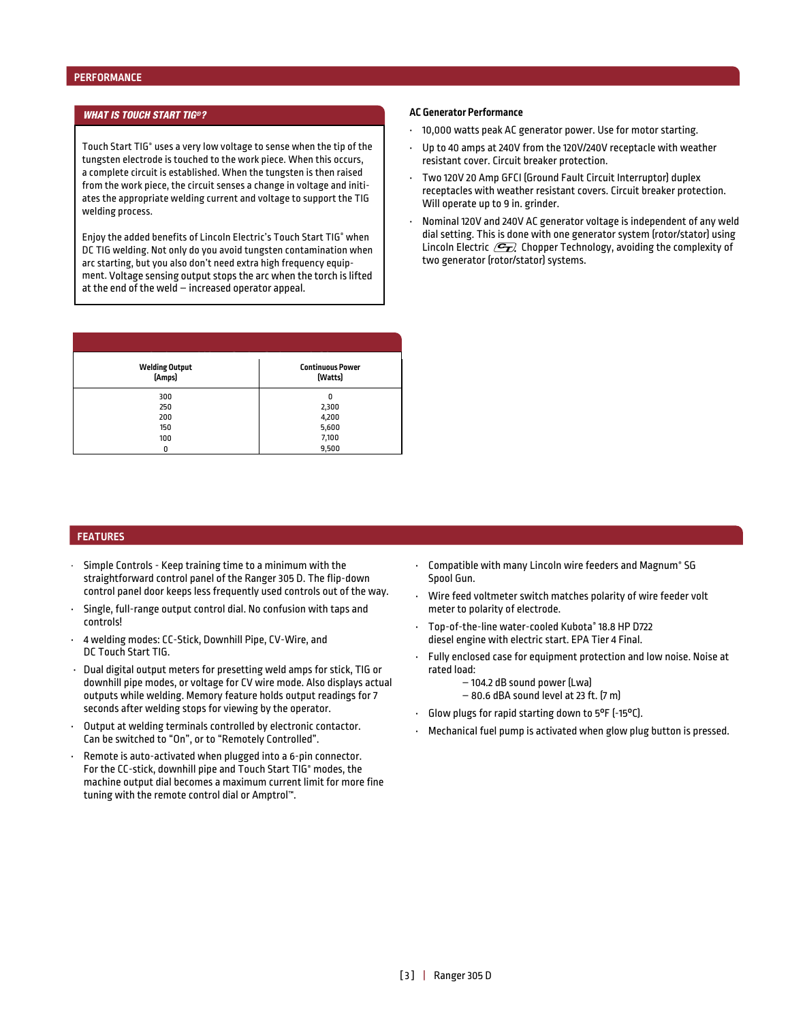### *WHAT IS TOUCH START TIG®?* **AC Generator Performance**

Touch Start TIG® uses a very low voltage to sense when the tip of the tungsten electrode is touched to the work piece. When this occurs, a complete circuit is established. When the tungsten is then raised from the work piece, the circuit senses a change in voltage and initiates the appropriate welding current and voltage to support the TIG welding process.

Enjoy the added benefits of Lincoln Electric's Touch Start TIG® when DC TIG welding. Not only do you avoid tungsten contamination when arc starting, but you also don't need extra high frequency equipment. Voltage sensing output stops the arc when the torch is lifted at the end of the weld – increased operator appeal.

| <b>Welding Output</b><br>[Amps] | <b>Continuous Power</b><br>[Watts] |
|---------------------------------|------------------------------------|
| 300                             | 0                                  |
| 250                             | 2,300                              |
| 200                             | 4,200                              |
| 150                             | 5,600                              |
| 100                             | 7,100                              |
| 0                               | 9,500                              |

- 10,000 watts peak AC generator power. Use for motor starting.
- Up to 40 amps at 240V from the 120V/240V receptacle with weather resistant cover. Circuit breaker protection.
- Two 120V 20 Amp GFCI (Ground Fault Circuit Interruptor) duplex receptacles with weather resistant covers. Circuit breaker protection. Will operate up to 9 in. grinder.
- Nominal 120V and 240V AC generator voltage is independent of any weld dial setting. This is done with one generator system (rotor/stator) using Lincoln Electric  $\mathcal{F}_n$  Chopper Technology, avoiding the complexity of two generator (rotor/stator) systems.

#### **FEATURES**

- Simple Controls Keep training time to a minimum with the straightforward control panel of the Ranger 305 D. The flip-down control panel door keeps less frequently used controls out of the way.
- Single, full-range output control dial. No confusion with taps and controls!
- 4 welding modes: CC-Stick, Downhill Pipe, CV-Wire, and DC Touch Start TIG.
- Dual digital output meters for presetting weld amps for stick, TIG or downhill pipe modes, or voltage for CV wire mode. Also displays actual outputs while welding. Memory feature holds output readings for 7 seconds after welding stops for viewing by the operator.
- Output at welding terminals controlled by electronic contactor. Can be switched to "On", or to "Remotely Controlled".
- Remote is auto-activated when plugged into a 6-pin connector. For the CC-stick, downhill pipe and Touch Start TIG® modes, the machine output dial becomes a maximum current limit for more fine tuning with the remote control dial or Amptrol™.
- Compatible with many Lincoln wire feeders and Magnum® SG Spool Gun.
- Wire feed voltmeter switch matches polarity of wire feeder volt meter to polarity of electrode.
- Top-of-the-line water-cooled Kubota® 18.8 HP D722 diesel engine with electric start. EPA Tier 4 Final.
- Fully enclosed case for equipment protection and low noise. Noise at rated load:
	- 104.2 dB sound power (Lwa)
	- 80.6 dBA sound level at 23 ft. (7 m)
- Glow plugs for rapid starting down to 5°F (-15°C).
- Mechanical fuel pump is activated when glow plug button is pressed.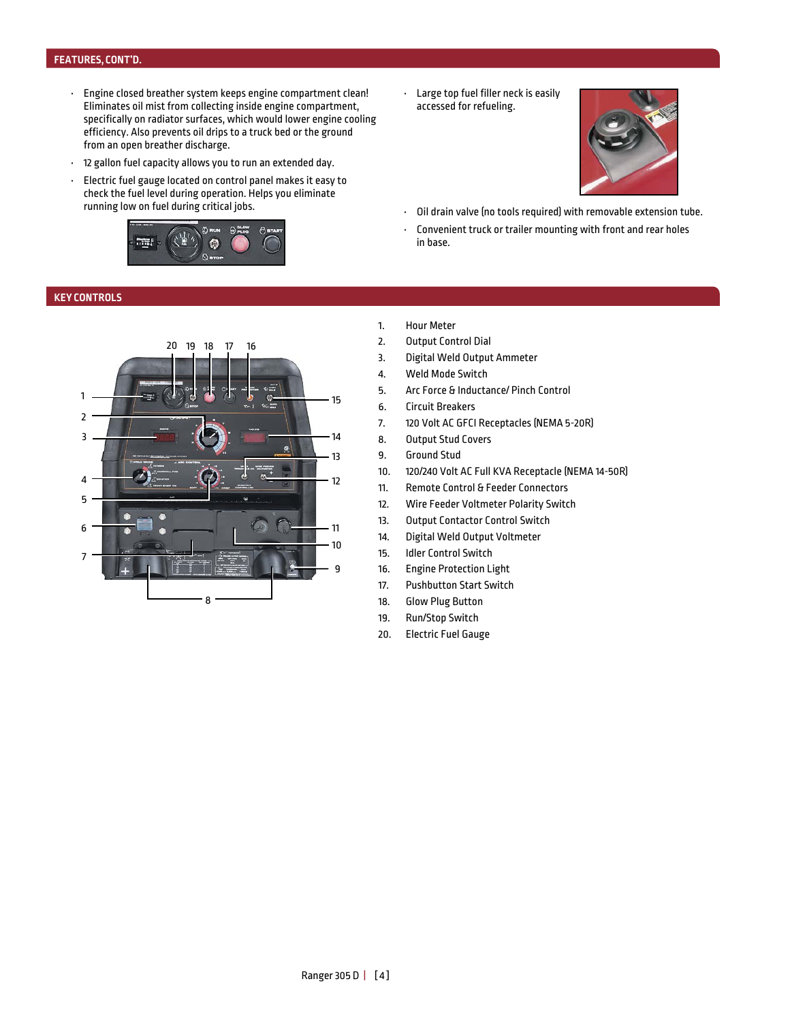#### **FEATURES, CONT'D.**

- Engine closed breather system keeps engine compartment clean! Eliminates oil mist from collecting inside engine compartment, specifically on radiator surfaces, which would lower engine cooling efficiency. Also prevents oil drips to a truck bed or the ground from an open breather discharge.
- 12 gallon fuel capacity allows you to run an extended day.
- Electric fuel gauge located on control panel makes it easy to check the fuel level during operation. Helps you eliminate running low on fuel during critical jobs.



#### **KEY CONTROLS**



• Large top fuel filler neck is easily accessed for refueling.



- Oil drain valve (no tools required) with removable extension tube.
- Convenient truck or trailer mounting with front and rear holes in base.
- 1. Hour Meter
- 2. Output Control Dial
- 3. Digital Weld Output Ammeter
- 4. Weld Mode Switch
- 5. Arc Force & Inductance/ Pinch Control
- 6. Circuit Breakers
- 7. 120 Volt AC GFCI Receptacles (NEMA 5-20R)
- 8. Output Stud Covers
- 9. Ground Stud
- 10. 120/240 Volt AC Full KVA Receptacle (NEMA 14-50R)
- 11. Remote Control & Feeder Connectors
- 12. Wire Feeder Voltmeter Polarity Switch
- 13. Output Contactor Control Switch
- 14. Digital Weld Output Voltmeter
- 15. Idler Control Switch
- 16. Engine Protection Light
- 17. Pushbutton Start Switch
- 18. Glow Plug Button
- 19. Run/Stop Switch
- 20. Electric Fuel Gauge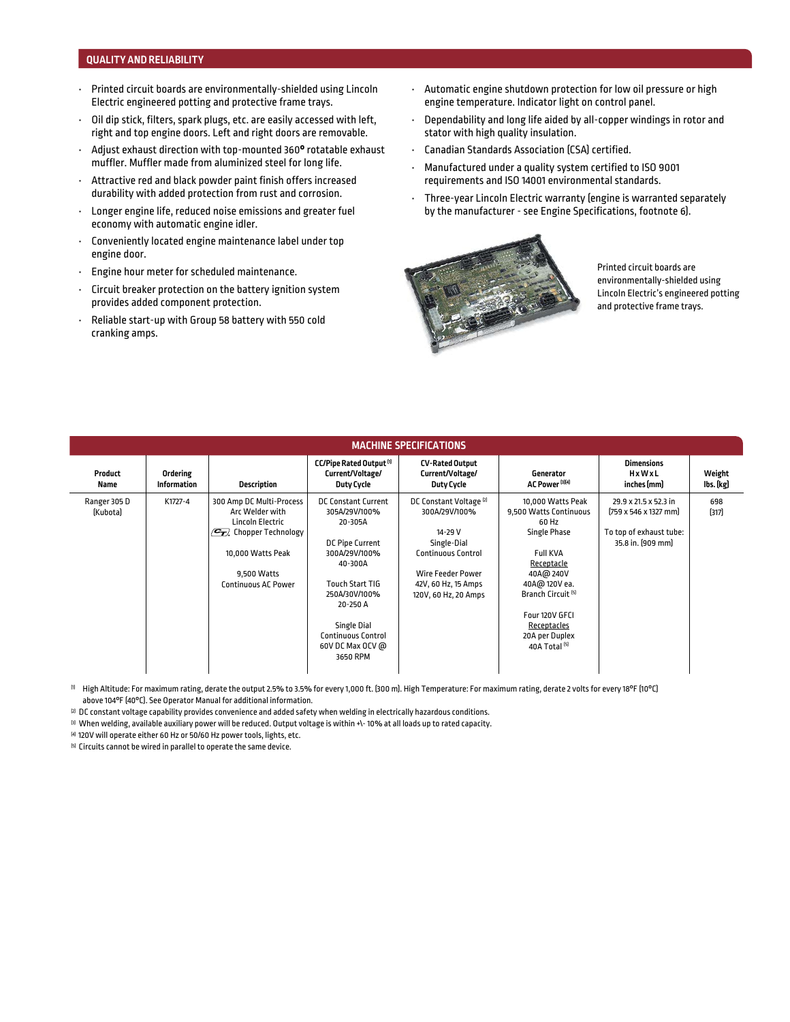#### **QUALITY AND RELIABILITY**

- Printed circuit boards are environmentally-shielded using Lincoln Electric engineered potting and protective frame trays.
- Oil dip stick, filters, spark plugs, etc. are easily accessed with left, right and top engine doors. Left and right doors are removable.
- Adjust exhaust direction with top-mounted 360**°** rotatable exhaust muffler. Muffler made from aluminized steel for long life.
- Attractive red and black powder paint finish offers increased durability with added protection from rust and corrosion.
- Longer engine life, reduced noise emissions and greater fuel economy with automatic engine idler.
- Conveniently located engine maintenance label under top engine door.
- Engine hour meter for scheduled maintenance.
- Circuit breaker protection on the battery ignition system provides added component protection.
- Reliable start-up with Group 58 battery with 550 cold cranking amps.
- Automatic engine shutdown protection for low oil pressure or high engine temperature. Indicator light on control panel.
- Dependability and long life aided by all-copper windings in rotor and stator with high quality insulation.
- Canadian Standards Association (CSA) certified.
- Manufactured under a quality system certified to ISO 9001 requirements and ISO 14001 environmental standards.
- Three-year Lincoln Electric warranty (engine is warranted separately by the manufacturer - see Engine Specifications, footnote 6).



Printed circuit boards are environmentally-shielded using Lincoln Electric's engineered potting and protective frame trays.

| <b>MACHINE SPECIFICATIONS</b> |                                |                                                                                                                                                                                               |                                                                                                                                                                                                                                          |                                                                                                                                                                                |                                                                                                                                                                                                                                                     |                                                                                                                    |                     |
|-------------------------------|--------------------------------|-----------------------------------------------------------------------------------------------------------------------------------------------------------------------------------------------|------------------------------------------------------------------------------------------------------------------------------------------------------------------------------------------------------------------------------------------|--------------------------------------------------------------------------------------------------------------------------------------------------------------------------------|-----------------------------------------------------------------------------------------------------------------------------------------------------------------------------------------------------------------------------------------------------|--------------------------------------------------------------------------------------------------------------------|---------------------|
| Product<br>Name               | Ordering<br><b>Information</b> | <b>Description</b>                                                                                                                                                                            | CC/Pipe Rated Output <sup>[1]</sup><br>Current/Voltage/<br><b>Duty Cycle</b>                                                                                                                                                             | <b>CV-Rated Output</b><br>Current/Voltage/<br><b>Duty Cycle</b>                                                                                                                | Generator<br>AC Power <sup>[3][4]</sup>                                                                                                                                                                                                             | <b>Dimensions</b><br>HxWxL<br>inches [mm]                                                                          | Weight<br>lbs. (kg) |
| Ranger 305 D<br>[Kubota]      | K1727-4                        | 300 Amp DC Multi-Process<br>Arc Welder with<br>Lincoln Electric<br>$\mathcal{C}_{\mathcal{T}}$<br><b>Chopper Technology</b><br>10,000 Watts Peak<br>9,500 Watts<br><b>Continuous AC Power</b> | <b>DC Constant Current</b><br>305A/29V/100%<br>20-305A<br>DC Pipe Current<br>300A/29V/100%<br>40-300A<br><b>Touch Start TIG</b><br>250A/30V/100%<br>20-250 A<br>Single Dial<br><b>Continuous Control</b><br>60V DC Max OCV @<br>3650 RPM | DC Constant Voltage <sup>[2]</sup><br>300A/29V/100%<br>14-29 V<br>Single-Dial<br><b>Continuous Control</b><br>Wire Feeder Power<br>42V, 60 Hz, 15 Amps<br>120V, 60 Hz, 20 Amps | 10,000 Watts Peak<br>9,500 Watts Continuous<br>60 Hz<br>Single Phase<br><b>Full KVA</b><br>Receptacle<br>40A@ 240V<br>40A@ 120V ea.<br>Branch Circuit <sup>[5]</sup><br>Four 120V GFCI<br>Receptacles<br>20A per Duplex<br>40A Total <sup>[5]</sup> | 29.9 x 21.5 x 52.3 in<br>$[759 \times 546 \times 1327 \text{ mm}]$<br>To top of exhaust tube:<br>35.8 in. [909 mm] | 698<br>[317]        |

<sup>(1)</sup> High Altitude: For maximum rating, derate the output 2.5% to 3.5% for every 1,000 ft. (300 m). High Temperature: For maximum rating, derate 2 volts for every 18°F (10°C) above 104°F (40°C). See Operator Manual for additional information.

<sup>[2]</sup> DC constant voltage capability provides convenience and added safety when welding in electrically hazardous conditions.

<sup>[3]</sup> When welding, available auxiliary power will be reduced. Output voltage is within +\- 10% at all loads up to rated capacity.

(4) 120V will operate either 60 Hz or 50/60 Hz power tools, lights, etc.

<sup>(5)</sup> Circuits cannot be wired in parallel to operate the same device.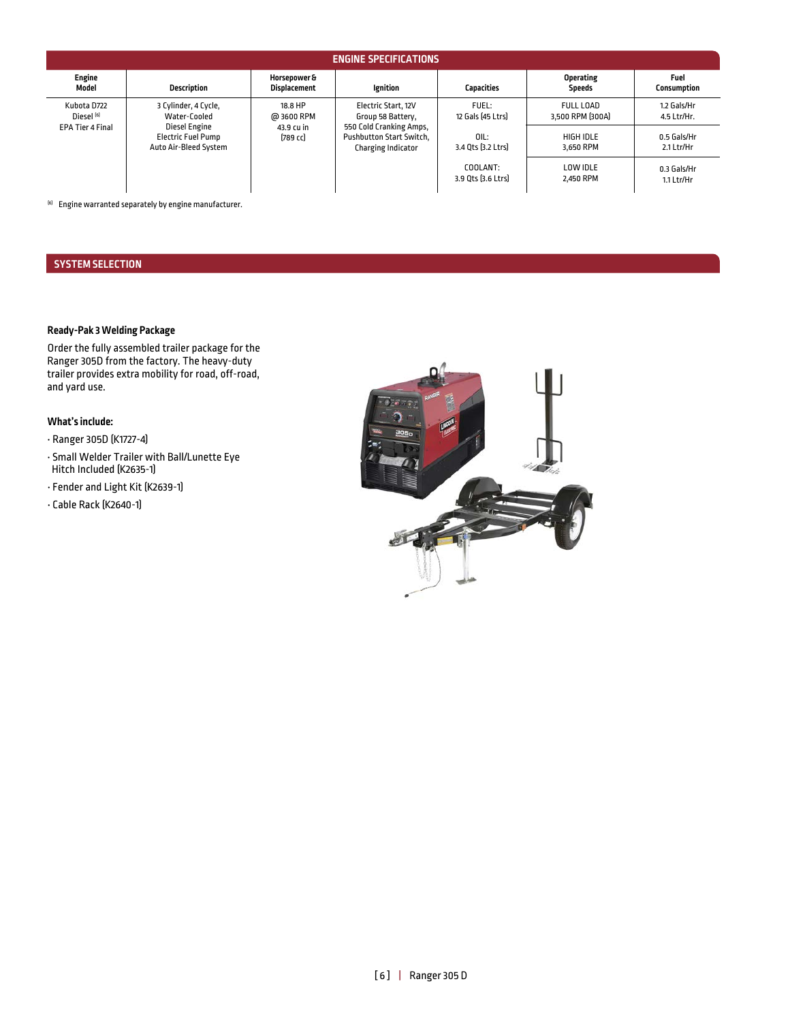| <b>ENGINE SPECIFICATIONS</b>                                    |                                                    |                                                                  |                                                                                                                              |                                |                                   |                            |
|-----------------------------------------------------------------|----------------------------------------------------|------------------------------------------------------------------|------------------------------------------------------------------------------------------------------------------------------|--------------------------------|-----------------------------------|----------------------------|
| Engine<br>Model                                                 | <b>Description</b>                                 | Horsepower &<br><b>Displacement</b>                              | Ignition                                                                                                                     | <b>Capacities</b>              | <b>Operating</b><br><b>Speeds</b> | Fuel<br><b>Consumption</b> |
| Kubota D722<br>Diesel <sup>[6]</sup><br><b>EPA Tier 4 Final</b> | 3 Cylinder, 4 Cycle,<br>Water-Cooled               | 18.8 HP<br>@ 3600 RPM<br>Diesel Engine<br>43.9 cu in<br>[789 cc] | Electric Start, 12V<br>Group 58 Battery,<br>550 Cold Cranking Amps,<br><b>Pushbutton Start Switch,</b><br>Charging Indicator | FUEL:<br>12 Gals [45 Ltrs]     | FULL LOAD<br>3,500 RPM [300A]     | 1.2 Gals/Hr<br>4.5 Ltr/Hr. |
|                                                                 | <b>Electric Fuel Pump</b><br>Auto Air-Bleed System |                                                                  |                                                                                                                              | 0IL:<br>3.4 Ots [3.2 Ltrs]     | HIGH IDLE<br>3.650 RPM            | 0.5 Gals/Hr<br>2.1 Ltr/Hr  |
|                                                                 |                                                    |                                                                  |                                                                                                                              | COOLANT:<br>3.9 Qts [3.6 Ltrs] | LOW IDLE<br>2.450 RPM             | 0.3 Gals/Hr<br>1.1 Ltr/Hr  |

(6) Engine warranted separately by engine manufacturer.

#### **SYSTEM SELECTION**

#### **Ready-Pak 3 Welding Package**

Order the fully assembled trailer package for the Ranger 305D from the factory. The heavy-duty trailer provides extra mobility for road, off-road, and yard use.

#### **What's include:**

- Ranger 305D (K1727-4)
- Small Welder Trailer with Ball/Lunette Eye Hitch Included (K2635-1)
- Fender and Light Kit (K2639-1)
- Cable Rack (K2640-1)

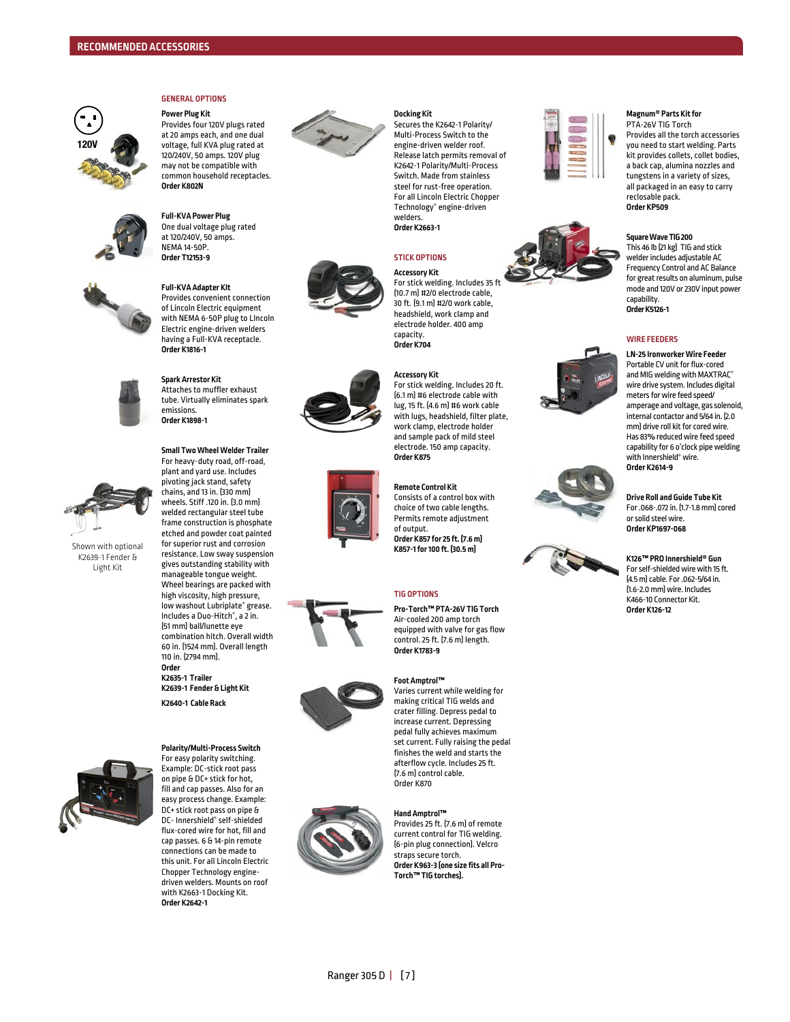

#### **GENERAL OPTIONS Power Plug Kit**

Provides four 120V plugs rated at 20 amps each, and one dual voltage, full KVA plug rated at 120/240V, 50 amps. 120V plug may not be compatible with common household receptacles. **Order K802N**



#### **Full-KVA Power Plug** One dual voltage plug rated at 120/240V, 50 amps. NEMA 14-50P. **Order T12153-9**

**Order K1816-1**



#### **Full-KVA Adapter KIt**  Provides convenient connection of Lincoln Electric equipment with NEMA 6-50P plug to LIncoln Electric engine-driven welders having a Full-KVA receptacle.



**Spark Arrestor Kit**  Attaches to muffler exhaust tube. Virtually eliminates spark emissions. **Order K1898-1**

#### **Small Two Wheel Welder Trailer**  For heavy-duty road, off-road,



Shown with optional K2639-1 Fender & Light Kit

plant and yard use. Includes pivoting jack stand, safety chains, and 13 in. (330 mm) wheels. Stiff .120 in. (3.0 mm) welded rectangular steel tube frame construction is phosphate etched and powder coat painted for superior rust and corrosion resistance. Low sway suspension gives outstanding stability with manageable tongue weight. Wheel bearings are packed with high viscosity, high pressure, low washout Lubriplate ® grease. Includes a Duo-Hitch ®, a 2 in. (51 mm) ball/lunette eye combination hitch. Overall width 60 in. (1524 mm). Overall length 110 in. (2794 mm). **Order** 

**K2635-1 Trailer K2639-1 Fender & Light Kit K2640-1 Cable Rack** 



For easy polarity switching. Example: DC-stick root pass on pipe & DC+ stick for hot, fill and cap passes. Also for an easy process change. Example: DC+ stick root pass on pipe & DC- Innershield ® self-shielded flux-cored wire for hot, fill and cap passes. 6 & 14-pin remote connections can be made to this unit. For all Lincoln Electric Chopper Technology enginedriven welders. Mounts on roof with K2663-1 Docking Kit. **Order K2642-1**

**Polarity/Multi-Process Switch**



#### **Docking Kit**

Secures the K2642-1 Polarity/ Multi-Process Switch to the engine-driven welder roof. Release latch permits removal of K2642-1 Polarity/Multi-Process Switch. Made from stainless steel for rust-free operation. For all Lincoln Electric Chopper Technology ® engine-driven welders. **Order K2663-1**

#### **STICK OPTIONS**

**Accessory Kit** For stick welding. Includes 35 ft.

(10.7 m) #2/0 electrode cable, 30 ft. (9.1 m) #2/0 work cable, headshield, work clamp and electrode holder. 400 amp capacity. **Order K704**

#### **Accessory Kit**

For stick welding. Includes 20 ft. (6.1 m) #6 electrode cable with lug, 15 ft. (4.6 m) #6 work cable with lugs, headshield, filter plate, work clamp, electrode holder and sample pack of mild steel electrode. 150 amp capacity. **Order K875**

**Remote Control Kit**  Consists of a control box with choice of two cable lengths. Permits remote adjustment of output. **Order K857 for 25 ft. (7.6 m)** 

**K857-1 for 100 ft. (30.5 m)**

**Foot Amptrol™** 

control. 25 ft. (7.6 m) length. **Order K1783-9**



making critical TIG welds and crater filling. Depress pedal to increase current. Depressing pedal fully achieves maximum set current. Fully raising the pedal finishes the weld and starts the afterflow cycle. Includes 25 ft. (7.6 m) control cable. Order K870

Varies current while welding for



#### **Hand Amptrol™**

Provides 25 ft. (7.6 m) of remote current control for TIG welding. (6-pin plug connection). Velcro straps secure torch. **Order K963-3 (one size fits all Pro-Torch™ TIG torches).**













**TIG OPTIONS Pro-Torch™ PTA-26V TIG Torch** Air-cooled 200 amp torch equipped with valve for gas flow









**K126™ PRO Innershield® Gun** For self-shielded wire with 15 ft. (4.5 m) cable. For .062-5/64 in. (1.6-2.0 mm) wire. Includes K466-10 Connector Kit. **Order K126-12**

**Magnum® Parts Kit for** PTA-26V TIG Torch

Provides all the torch accessories you need to start welding. Parts kit provides collets, collet bodies, a back cap, alumina nozzles and tungstens in a variety of sizes, all packaged in an easy to carry reclosable pack. **Order KP509**

#### **Square Wave TIG 200**

This 46 lb (21 kg) TIG and stick welder includes adjustable AC Frequency Control and AC Balance for great results on aluminum, pulse mode and 120V or 230V input power capability. **Order K5126-1**

#### **WIRE FEEDERS**

**LN-25 Ironworker Wire Feeder** Portable CV unit for flux-cored and MIG welding with MAXTRAC ® wire drive system. Includes digital meters for wire feed speed/ amperage and voltage, gas solenoid, internal contactor and 5/64 in. (2.0 mm) drive roll kit for cored wire. Has 83% reduced wire feed speed capability for 6 o'clock pipe welding with Innershield ® wire. **Order K2614-9**

**Drive Roll and Guide Tube Kit** For .068-.072 in. (1.7-1.8 mm) cored or solid steel wire. **Order KP1697-068**